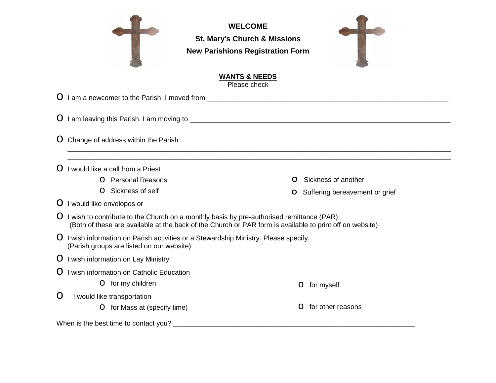

**WELCOME St. Mary's Church & Missions New Parishions Registration Form**



## **WANTS & NEEDS** Please check

\_\_\_\_\_\_\_\_\_\_\_\_\_\_\_\_\_\_\_\_\_\_\_\_\_\_\_\_\_\_\_\_\_\_\_\_\_\_\_\_\_\_\_\_\_\_\_\_\_\_\_\_\_\_\_\_\_\_\_\_\_\_\_\_\_\_\_\_\_\_\_\_\_\_\_\_\_\_\_\_\_\_\_\_\_\_\_\_\_\_\_\_\_\_\_\_\_\_\_\_

o I am a newcomer to the Parish. I moved from \_\_\_\_\_\_\_\_\_\_\_\_\_\_\_\_\_\_\_\_\_\_\_\_\_\_\_\_\_\_\_\_\_\_\_\_\_\_\_\_\_\_\_\_\_\_\_\_\_\_\_\_\_\_\_\_\_\_\_\_\_\_\_

o I am leaving this Parish. I am moving to \_\_\_\_\_\_\_\_\_\_\_\_\_\_\_\_\_\_\_\_\_\_\_\_\_\_\_\_\_\_\_\_\_\_\_\_\_\_\_\_\_\_\_\_\_\_\_\_\_\_\_\_\_\_\_\_\_\_\_\_\_\_\_\_\_\_\_\_

**O** Change of address within the Parish

 $O$  I would like a call from a Priest

- o Personal Reasons
- o Sickness of self

**O** Sickness of another

o for myself

o for other reasons

**O** Suffering bereavement or grief

## **O** I would like envelopes or

- $\overline{O}$  I wish to contribute to the Church on a monthly basis by pre-authorised remittance (PAR) (Both of these are available at the back of the Church or PAR form is available to print off on website)
- O I wish information on Parish activities or a Stewardship Ministry. Please specify. (Parish groups are listed on our website)
- **O** I wish information on Lay Ministry
- **O** I wish information on Catholic Education
	- o for my children
- **O** I would like transportation
	- **O** for Mass at (specify time)

When is the best time to contact you? \_\_\_\_\_\_\_\_\_\_\_\_\_\_\_\_\_\_\_\_\_\_\_\_\_\_\_\_\_\_\_\_\_\_\_\_\_\_\_\_\_\_\_\_\_\_\_\_\_\_\_\_\_\_\_\_\_\_\_\_\_\_\_